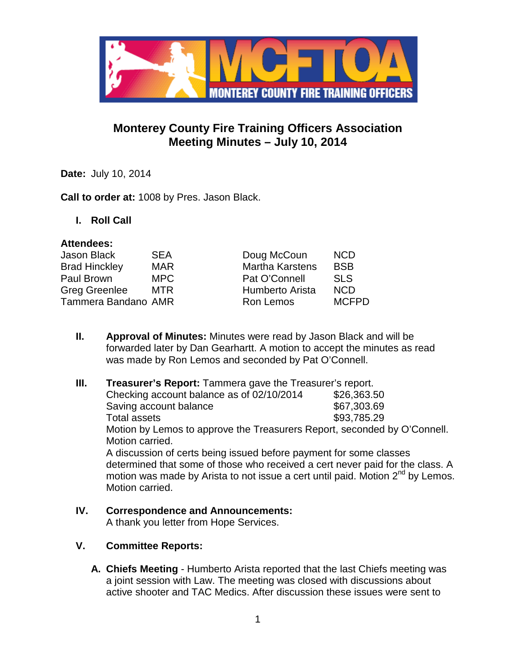

# **Monterey County Fire Training Officers Association Meeting Minutes – July 10, 2014**

**Date:** July 10, 2014

**Call to order at:** 1008 by Pres. Jason Black.

**I. Roll Call**

### **Attendees:**

| Jason Black          | <b>SEA</b> | Doug McCoun            | <b>NCD</b>   |
|----------------------|------------|------------------------|--------------|
| <b>Brad Hinckley</b> | <b>MAR</b> | <b>Martha Karstens</b> | <b>BSB</b>   |
| Paul Brown           | MPC        | Pat O'Connell          | <b>SLS</b>   |
| Greg Greenlee        | <b>MTR</b> | <b>Humberto Arista</b> | <b>NCD</b>   |
| Tammera Bandano AMR  |            | Ron Lemos              | <b>MCFPD</b> |
|                      |            |                        |              |

- **II. Approval of Minutes:** Minutes were read by Jason Black and will be forwarded later by Dan Gearhartt. A motion to accept the minutes as read was made by Ron Lemos and seconded by Pat O'Connell.
- **III. Treasurer's Report:** Tammera gave the Treasurer's report. Checking account balance as of  $02/10/2014$  \$26,363.50 Saving account balance \$67,303.69 Total assets \$93,785.29 Motion by Lemos to approve the Treasurers Report, seconded by O'Connell. Motion carried. A discussion of certs being issued before payment for some classes determined that some of those who received a cert never paid for the class. A motion was made by Arista to not issue a cert until paid. Motion  $2<sup>nd</sup>$  by Lemos. Motion carried.
- **IV. Correspondence and Announcements:** A thank you letter from Hope Services.

## **V. Committee Reports:**

**A. Chiefs Meeting** - Humberto Arista reported that the last Chiefs meeting was a joint session with Law. The meeting was closed with discussions about active shooter and TAC Medics. After discussion these issues were sent to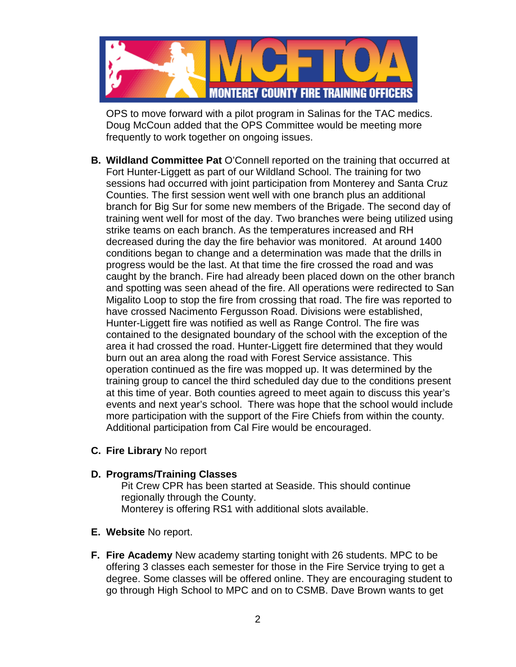

OPS to move forward with a pilot program in Salinas for the TAC medics. Doug McCoun added that the OPS Committee would be meeting more frequently to work together on ongoing issues.

- **B. Wildland Committee Pat** O'Connell reported on the training that occurred at Fort Hunter-Liggett as part of our Wildland School. The training for two sessions had occurred with joint participation from Monterey and Santa Cruz Counties. The first session went well with one branch plus an additional branch for Big Sur for some new members of the Brigade. The second day of training went well for most of the day. Two branches were being utilized using strike teams on each branch. As the temperatures increased and RH decreased during the day the fire behavior was monitored. At around 1400 conditions began to change and a determination was made that the drills in progress would be the last. At that time the fire crossed the road and was caught by the branch. Fire had already been placed down on the other branch and spotting was seen ahead of the fire. All operations were redirected to San Migalito Loop to stop the fire from crossing that road. The fire was reported to have crossed Nacimento Fergusson Road. Divisions were established, Hunter-Liggett fire was notified as well as Range Control. The fire was contained to the designated boundary of the school with the exception of the area it had crossed the road. Hunter-Liggett fire determined that they would burn out an area along the road with Forest Service assistance. This operation continued as the fire was mopped up. It was determined by the training group to cancel the third scheduled day due to the conditions present at this time of year. Both counties agreed to meet again to discuss this year's events and next year's school. There was hope that the school would include more participation with the support of the Fire Chiefs from within the county. Additional participation from Cal Fire would be encouraged.
- **C. Fire Library** No report

### **D. Programs/Training Classes**

Pit Crew CPR has been started at Seaside. This should continue regionally through the County. Monterey is offering RS1 with additional slots available.

- **E. Website** No report.
- **F. Fire Academy** New academy starting tonight with 26 students. MPC to be offering 3 classes each semester for those in the Fire Service trying to get a degree. Some classes will be offered online. They are encouraging student to go through High School to MPC and on to CSMB. Dave Brown wants to get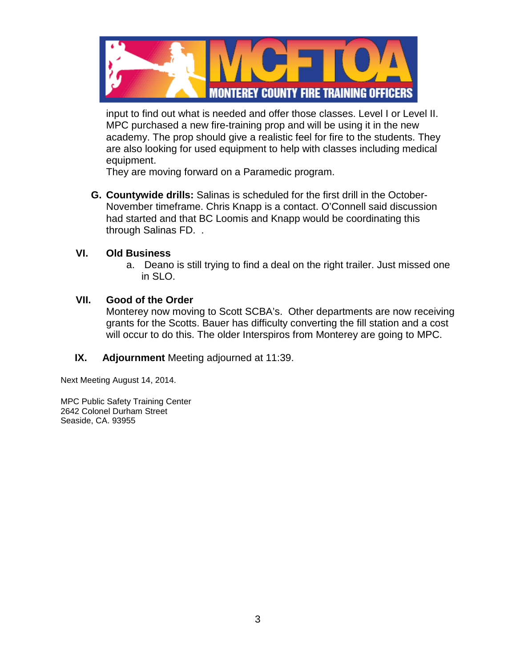

input to find out what is needed and offer those classes. Level I or Level II. MPC purchased a new fire-training prop and will be using it in the new academy. The prop should give a realistic feel for fire to the students. They are also looking for used equipment to help with classes including medical equipment.

They are moving forward on a Paramedic program.

**G. Countywide drills:** Salinas is scheduled for the first drill in the October-November timeframe. Chris Knapp is a contact. O'Connell said discussion had started and that BC Loomis and Knapp would be coordinating this through Salinas FD. .

### **VI. Old Business**

a. Deano is still trying to find a deal on the right trailer. Just missed one in SLO.

### **VII. Good of the Order**

Monterey now moving to Scott SCBA's. Other departments are now receiving grants for the Scotts. Bauer has difficulty converting the fill station and a cost will occur to do this. The older Interspiros from Monterey are going to MPC.

 **IX. Adjournment** Meeting adjourned at 11:39.

Next Meeting August 14, 2014.

MPC Public Safety Training Center 2642 Colonel Durham Street Seaside, CA. 93955